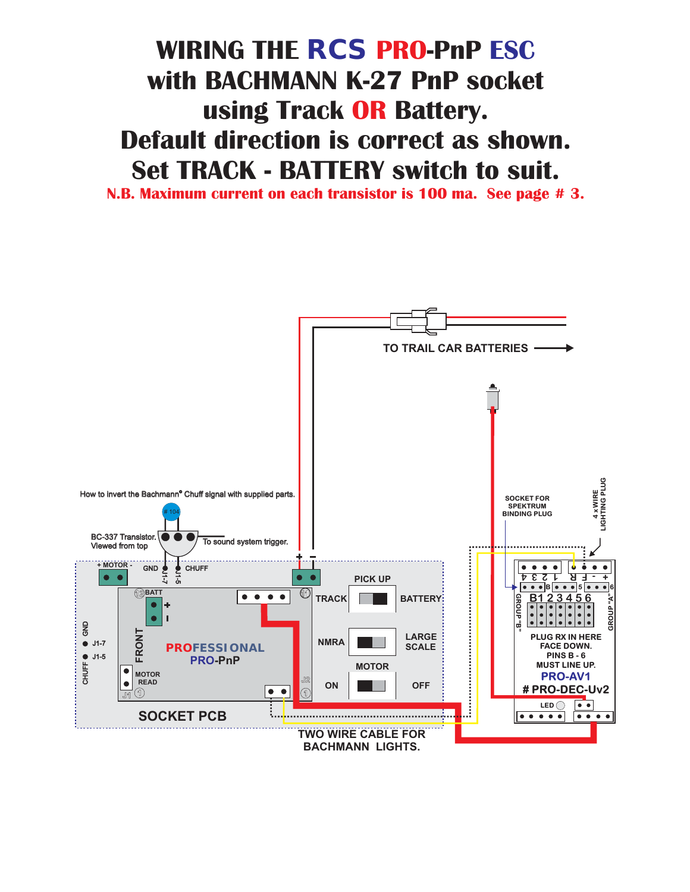# **WIRING THE**  $\mathit{RCS}$  **PRO-PnP ESC with BACHMANN K-27 PnP socket using Track OR Battery. Default direction is correct as shown. Set TRACK - BATTERY switch to suit.**

**N.B. Maximum current on each transistor is 100 ma. See page # 3.**

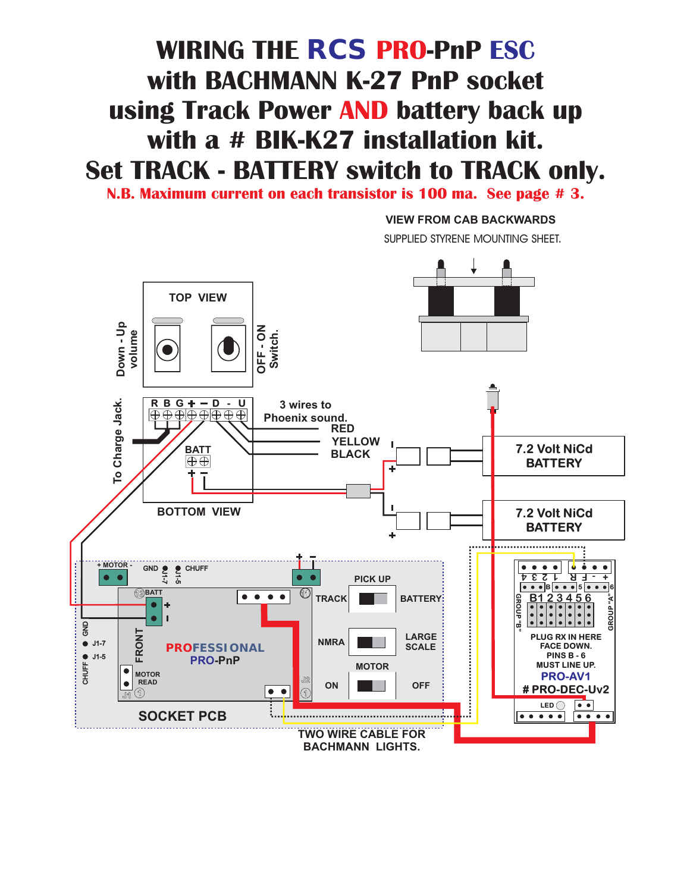## **WIRING THE**  $\mathit{RCS}$  **PRO-PnP ESC with BACHMANN K-27 PnP socket** using Track Power AND battery back up **with a # BIK-K27 installation kit. Set TRACK - BATTERY switch to TRACK only.**

**N.B. Maximum current on each transistor is 100 ma. See page # 3.**

#### **VIEW FROM CAB BACKWARDS**

**SUPPLIED STYRENE MOUNTING SHEET.**

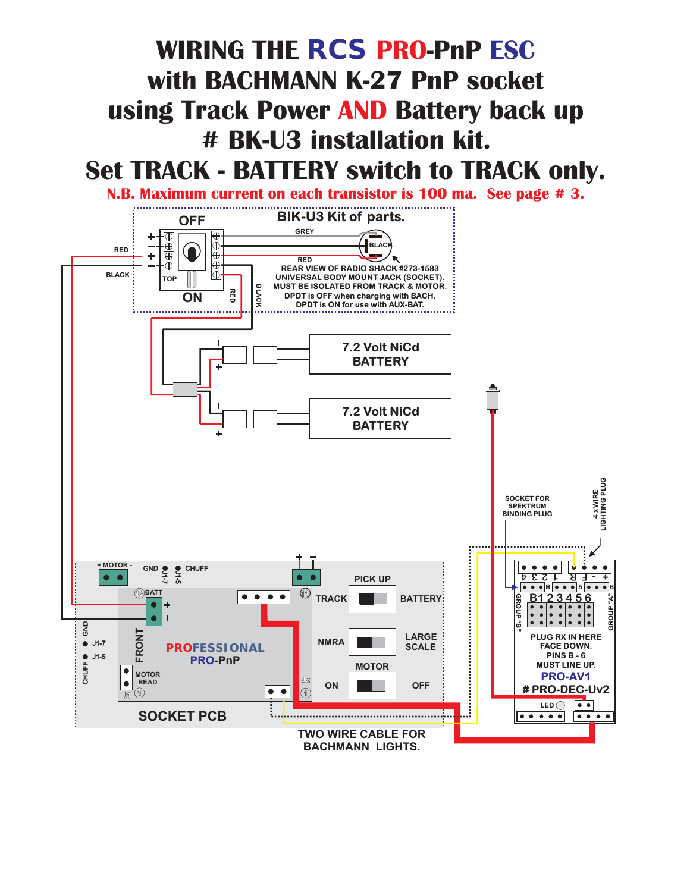### **WIRING THE**  $\mathit{RCS}$  **PRO-PnP ESC with BACHMANN K-27 PnP socket** using Track Power AND Battery back up **# BK-U3 installation kit. Set TRACK - BATTERY switch to TRACK only.**

**N.B. Maximum current on each transistor is 100 ma. See page # 3.**